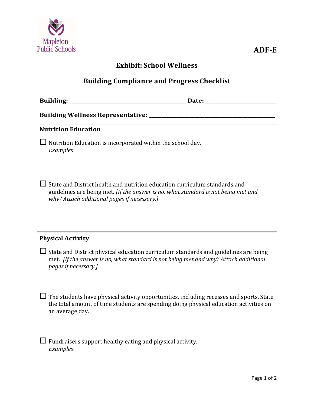

## **Exhibit: School Wellness**

## **Building Compliance and Progress Checklist**

**Building: \_\_\_\_\_\_\_\_\_\_\_\_\_\_\_\_\_\_\_\_\_\_\_\_\_\_\_\_\_\_\_\_\_\_\_\_\_\_\_\_\_\_\_\_\_\_ Date: \_\_\_\_\_\_\_\_\_\_\_\_\_\_\_\_\_\_\_\_\_\_\_\_\_\_\_\_**

**Building Wellness Representative: \_\_\_\_\_\_\_\_\_\_\_\_\_\_\_\_\_\_\_\_\_\_\_\_\_\_\_\_\_\_\_\_\_\_\_\_\_\_\_\_\_\_\_\_\_\_\_\_\_\_**

#### **Nutrition Education**

 $\Box$  Nutrition Education is incorporated within the school day. *Examples*: 

 $\Box$  State and District health and nutrition education curriculum standards and guidelines are being met. *[If the answer is no, what standard is not being met and why? Attach additional pages if necessary.]*

#### **Physical Activity**

 $\Box$  State and District physical education curriculum standards and guidelines are being met. *[If the answer is no, what standard is not being met and why? Attach additional pages if necessary.]*

 $\Box$  The students have physical activity opportunities, including recesses and sports. State the total amount of time students are spending doing physical education activities on an average day.

 $\Box$  Fundraisers support healthy eating and physical activity. *Examples*: